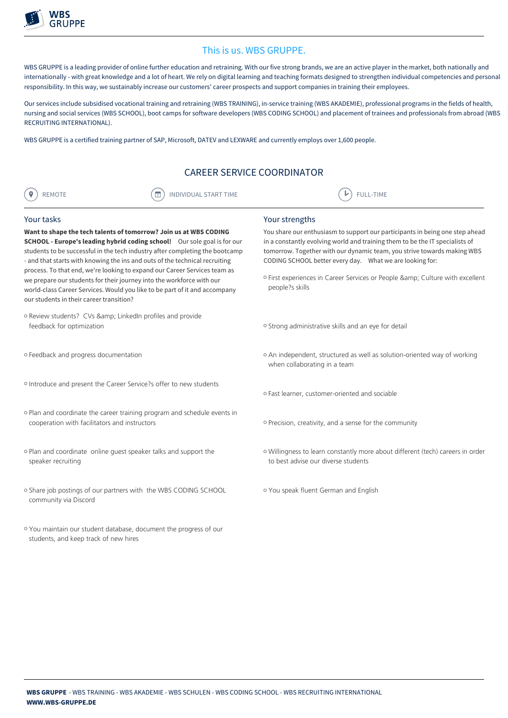

## This is us. WBS GRUPPE.

WBS GRUPPE is a leading provider of online further education and retraining. With our five strong brands, we are an active player in the market, both nationally and internationally - with great knowledge and a lot of heart. We rely on digital learning and teaching formats designed to strengthen individual competencies and personal responsibility. In this way, we sustainably increase our customers' career prospects and support companies in training their employees.

Our services include subsidised vocational training and retraining (WBS TRAINING), in-service training (WBS AKADEMIE), professional programs in the fields of health, nursing and social services (WBS SCHOOL), boot camps for software developers (WBS CODING SCHOOL) and placement of trainees and professionals from abroad (WBS RECRUITING INTERNATIONAL).

WBS GRUPPE is a certified training partner of SAP, Microsoft, DATEV and LEXWARE and currently employs over 1,600 people.

## CAREER SERVICE COORDINATOR

| INDIVIDUAL START TIME<br>$\overline{\phantom{a}}$<br>୰ | <b>IME</b> |
|--------------------------------------------------------|------------|
|                                                        |            |

## Your tasks

Want to shape the tech talents of tomorrow? Join us at WBS CODING SCHOOL - Europe's leading hybrid coding school! Our sole goal is for our students to be successful in the tech industry after completing the bootcamp - and that starts with knowing the ins and outs of the technical recruiting process. To that end, we're looking to expand our Career Services team as we prepare our students for their journey into the workforce with our world-class Career Services. Would you like to be part of it and accompany our students in their career transition?

- o Review students? CVs & amp; LinkedIn profiles and provide feedback for optimization
- <sup>P</sup> Feedback and progress documentation
- <sup>P</sup> Introduce and present the Career Service?s offer to new students
- <sup>P</sup> Plan and coordinate the career training program and schedule events in cooperation with facilitators and instructors
- <sup>P</sup> Plan and coordinate online guest speaker talks and support the speaker recruiting
- <sup>P</sup> Share job postings of our partners with the WBS CODING SCHOOL community via Discord
- <sup>P</sup> You maintain our student database, document the progress of our students, and keep track of new hires

Your strengths

You share our enthusiasm to support our participants in being one step ahead in a constantly evolving world and training them to be the IT specialists of tomorrow. Together with our dynamic team, you strive towards making WBS CODING SCHOOL better every day. What we are looking for:

- o First experiences in Career Services or People & amp; Culture with excellent people?s skills
- o Strong administrative skills and an eye for detail
- o An independent, structured as well as solution-oriented way of working when collaborating in a team
- <sup>P</sup> Fast learner, customer-oriented and sociable
- o Precision, creativity, and a sense for the community
- <sup>P</sup> Willingness to learn constantly more about different (tech) careers in order to best advise our diverse students
- <sup>P</sup> You speak fluent German and English